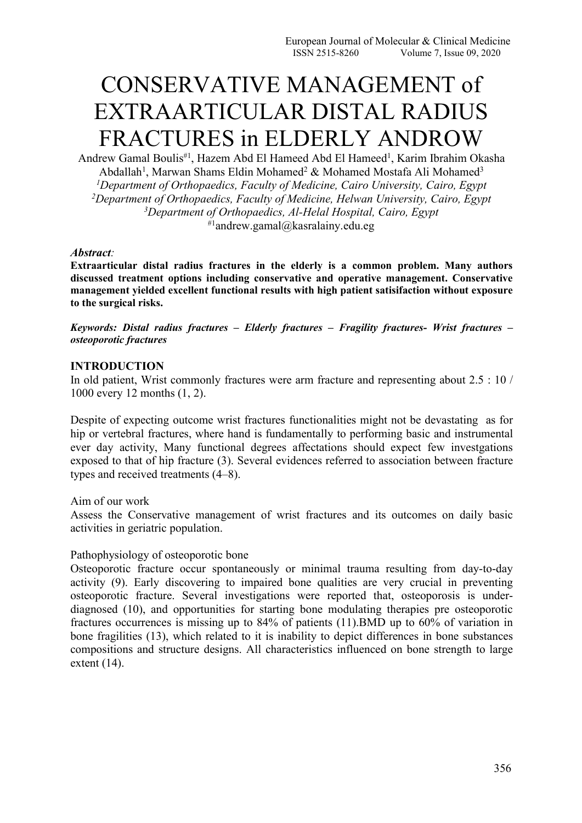# CONSERVATIVE MANAGEMENT of EXTRAARTICULAR DISTAL RADIUS FRACTURES in ELDERLY ANDROW

Andrew Gamal Boulis<sup>#1</sup>, Hazem Abd El Hameed Abd El Hameed<sup>1</sup>, Karim Ibrahim Okasha Abdallah<sup>1</sup>, Marwan Shams Eldin Mohamed<sup>2</sup> & Mohamed Mostafa Ali Mohamed<sup>3</sup> 3 *<sup>1</sup>Department of Orthopaedics, Faculty of Medicine, Cairo University, Cairo, Egypt <sup>2</sup>Department of Orthopaedics, Faculty of Medicine, Helwan University, Cairo, Egypt <sup>3</sup>Department of Orthopaedics, Al-Helal Hospital, Cairo, Egypt*  $*1$ andrew.gamal@kasralainy.edu.eg

#### *Abstract:*

**Extraarticular distal radius fractures in the elderly is a common problem. Many authors discussed treatment options including conservative and operative management. Conservative management yielded excellent functional results with high patient satisifaction without exposure to the surgical risks.**

*Keywords: Distal radius fractures – Elderly fractures – Fragility fractures- Wrist fractures – osteoporotic fractures*

#### **INTRODUCTION**

In old patient, Wrist commonly fractures were arm fracture and representing about 2.5 : 10 / 1000 every 12 months  $(1, 2)$ .<br>Despite of expecting outcome wrist fractures functionalities might not be devastating as for

hip or vertebral fractures, where hand is fundamentally to performing basic and instrumental ever day activity, Many functional degrees affectations should expect few investgations exposed to that of hip fracture (3). Several evidences referred to association between fracture types and received treatments  $(4-8)$ .<br>Aim of our work

Assess the Conservative management of wrist fractures and its outcomes on daily basic activities in geriatric population.

## Pathophysiology of osteoporotic bone

Osteoporotic fracture occur spontaneously or minimal trauma resulting from day-to-day activity (9). Early discovering to impaired bone qualities are very crucial in preventing osteoporotic fracture. Several investigations were reported that, osteoporosis is under diagnosed (10), and opportunities for starting bone modulating therapies pre osteoporotic fractures occurrences is missing up to 84% of patients (11).BMD up to 60% of variation in bone fragilities (13), which related to it is inability to depict differences in bone substances compositions and structure designs.All characteristics influenced on bone strength to large extent (14).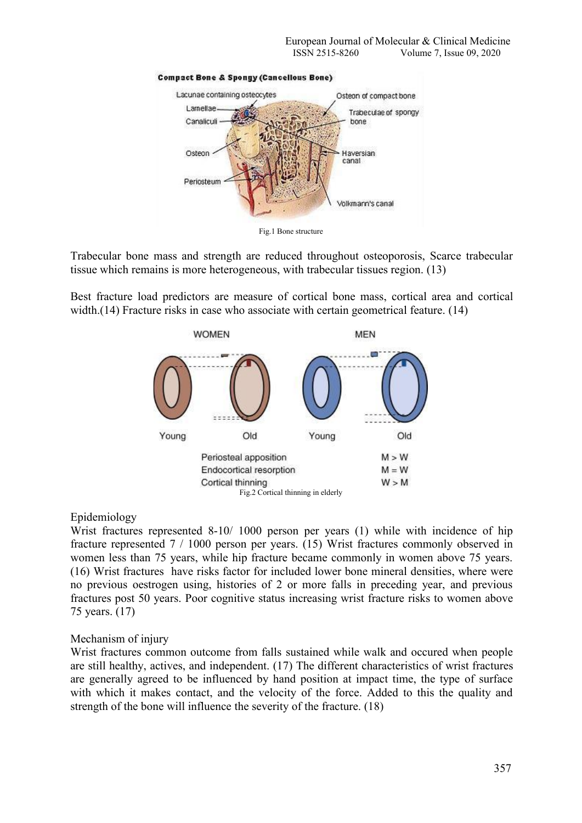

**Compact Bone & Spongy (Cancellous Bone)** 



Trabecular bone mass and strength are reduced throughout osteoporosis, Scarce trabecular tissue which remains is more heterogeneous, with trabecular tissues region. (13)

Best fracture load predictors are measure of cortical bone mass, cortical area and cortical width.(14) Fracture risks in case who associate with certain geometrical feature. (14)



## Epidemiology

Wrist fractures represented 8-10/ 1000 person per years (1) while with incidence of hip fracture represented 7 / 1000 person per years. (15) Wrist fractures commonly observed in women less than 75 years, while hip fracture became commonly in women above 75 years. (16) Wrist fractures have risks factor for included lower bone mineral densities, where were no previous oestrogen using, histories of 2 or more falls in preceding year, and previous fractures post 50 years. Poor cognitive status increasing wrist fracture risks to women above 75 years. (17)

## Mechanism of injury

Wrist fractures common outcome from falls sustained while walk and occured when people are still healthy, actives, and independent. (17) The different characteristics of wrist fractures are generally agreed to be influenced by hand position at impact time, the type of surface with which it makes contact, and the velocity of the force. Added to this the quality and strength of the bone will influence the severity of the fracture. (18)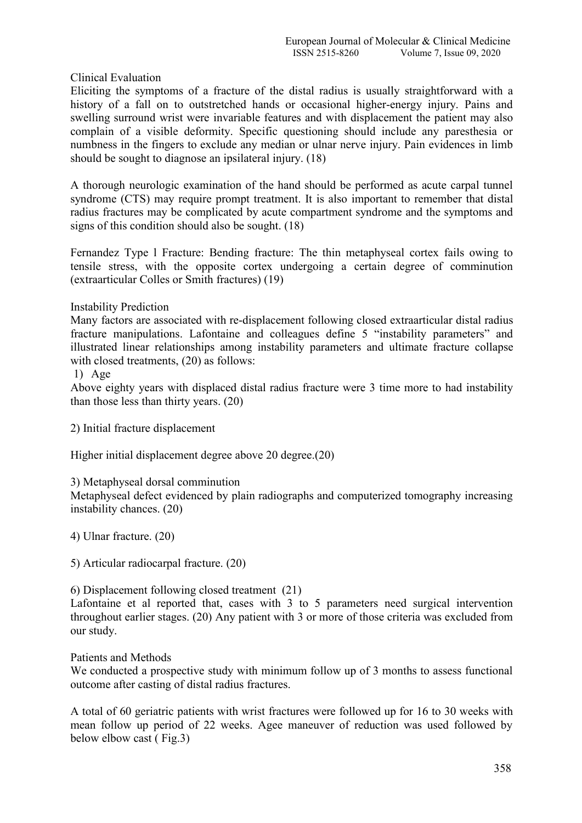Clinical Evaluation

Eliciting the symptoms of a fracture of the distal radius is usually straightforward with a history of a fall on to outstretched hands or occasional higher-energy injury. Pains and swelling surround wrist were invariable features and with displacement the patient may also complain of a visible deformity. Specific questioning should include any paresthesia or numbness in the fingers to exclude any median or ulnar nerve injury. Pain evidences in limb should be sought to diagnose an ipsilateral injury. (18)

A thorough neurologic examination of the hand should be performed as acute carpal tunnel syndrome (CTS) may require prompt treatment. It is also important to remember that distal radius fractures may be complicated by acute compartment syndrome and the symptoms and signs of this condition should also be sought. (18)

Fernandez Type l Fracture: Bending fracture: The thin metaphyseal cortex fails owing to tensile stress, with the opposite cortex undergoing a certain degree of comminution (extraarticular Colles or Smith fractures) (19)

Instability Prediction

Many factors are associated with re-displacement following closed extraarticular distal radius fracture manipulations. Lafontaine and colleagues define 5 "instability parameters" and illustrated linear relationships among instability parameters and ultimate fracture collapse with closed treatments,  $(20)$  as follows:

1) Age

Above eighty years with displaced distal radius fracture were 3 time more to had instability than those less than thirty years. (20)

2) Initial fracture displacement

Higher initial displacement degree above 20 degree.(20)

3) Metaphyseal dorsal comminution

Metaphyseal defect evidenced by plain radiographs and computerized tomography increasing instability chances. (20)

4) Ulnar fracture. (20)

5) Articular radiocarpal fracture. (20)

6) Displacement following closed treatment (21)

Lafontaine et al reported that, cases with 3 to 5 parameters need surgical intervention throughout earlier stages. (20) Any patient with 3 or more of those criteria was excluded from our study.

Patients and Methods

We conducted a prospective study with minimum follow up of 3 months to assess functional outcome after casting of distal radius fractures.

A total of 60 geriatric patients with wrist fractures were followed up for 16 to 30 weeks with mean follow up period of 22 weeks. Agee maneuver of reduction was used followed by below elbow cast ( Fig.3)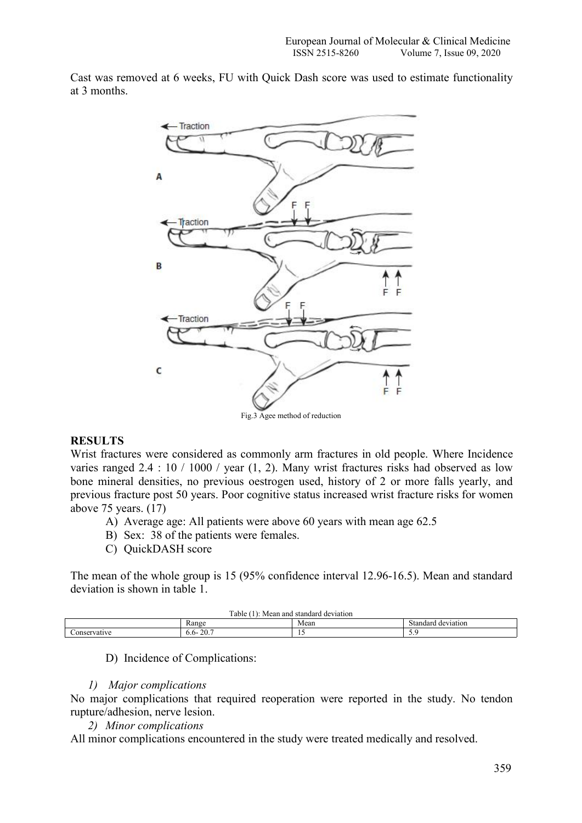Cast was removed at 6 weeks, FU with Quick Dash score was used to estimate functionality at 3 months.



## **RESULTS**

Wrist fractures were considered as commonly arm fractures in old people. Where Incidence varies ranged  $2.4 : 10 / 1000 /$  year  $(1, 2)$ . Many wrist fractures risks had observed as low bone mineral densities, no previous oestrogen used, history of 2 or more falls yearly, and previous fracture post 50 years. Poor cognitive status increased wrist fracture risks for women above 75 years. (17)

- A) Average age: All patients were above 60 years with mean age 62.5
- B) Sex: 38 of the patients were females.<br>C) QuickDASH score
- 

The mean of the whole group is 15 (95% confidence interval 12.96-16.5). Mean and standard deviation is shown in table 1.

| Γable<br>l standard.<br>deviation<br>and<br>Mean |                                    |      |                                     |
|--------------------------------------------------|------------------------------------|------|-------------------------------------|
|                                                  | Range                              | Mean | $\sim$<br>d o 110<br>tondor<br>E1OT |
|                                                  | $20 -$<br>$0.0-$<br>$\angle U_{1}$ | . .  | .                                   |

D) Incidence of Complications:

## *1) Major complications*

No major complications that required reoperation were reported in the study. No tendon rupture/adhesion, nerve lesion.

*2) Minor complications*

All minor complications encountered in the study were treated medically and resolved.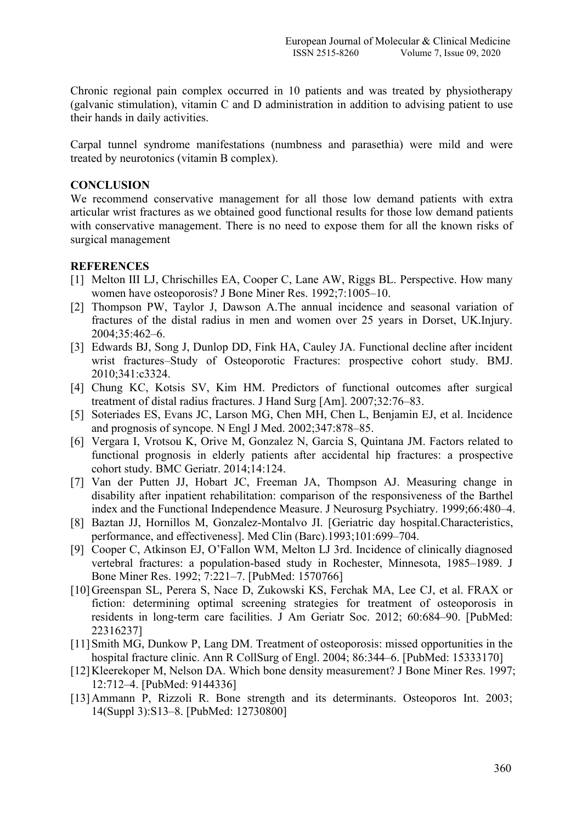Chronic regional pain complex occurred in 10 patients and was treated by physiotherapy (galvanic stimulation), vitamin C and D administration in addition to advising patient to use their hands in daily activities.

Carpal tunnel syndrome manifestations (numbness and parasethia) were mild and were treated by neurotonics (vitamin B complex).

## **CONCLUSION**

We recommend conservative management for all those low demand patients with extra articular wrist fractures as we obtained good functional results for those low demand patients with conservative management. There is no need to expose them for all the known risks of surgical management

#### **REFERENCES**

- [1] Melton III LJ, Chrischilles EA, Cooper C, Lane AW, Riggs BL. Perspective. How many women have osteoporosis? J Bone Miner Res. 1992;7:1005–10.
- [2] Thompson PW, Taylor J, Dawson A.The annual incidence and seasonal variation of fractures of the distal radius in men and women over 25 years in Dorset, UK.Injury. 2004;35:462–6.
- [3] Edwards BJ, Song J, Dunlop DD, Fink HA, Cauley JA. Functional decline after incident wrist fractures–Study of Osteoporotic Fractures: prospective cohort study. BMJ. 2010;341:c3324.
- [4] Chung KC, Kotsis SV, Kim HM. Predictors of functional outcomes after surgical treatment of distal radius fractures. J Hand Surg [Am]. 2007;32:76–83.
- [5] Soteriades ES, Evans JC, Larson MG, Chen MH, Chen L, Benjamin EJ, et al. Incidence and prognosis of syncope. N Engl J Med. 2002;347:878–85.
- [6] Vergara I, Vrotsou K, Orive M, Gonzalez N, Garcia S, Quintana JM. Factors related to functional prognosis in elderly patients after accidental hip fractures: a prospective cohort study. BMC Geriatr. 2014;14:124.
- [7] Van der Putten JJ, Hobart JC, Freeman JA, Thompson AJ. Measuring change in disability after inpatient rehabilitation: comparison of the responsiveness of the Barthel index and the Functional Independence Measure. J Neurosurg Psychiatry. 1999;66:480–4.
- [8] Baztan JJ, Hornillos M, Gonzalez-Montalvo JI. [Geriatric day hospital.Characteristics, performance, and effectiveness]. Med Clin (Barc).1993;101:699–704.
- [9] Cooper C, Atkinson EJ, O'Fallon WM, Melton LJ 3rd. Incidence of clinically diagnosed vertebral fractures: a population-based study in Rochester, Minnesota, 1985–1989. J Bone Miner Res. 1992; 7:221–7. [PubMed: 1570766]
- [10]Greenspan SL, Perera S, Nace D, Zukowski KS, Ferchak MA, Lee CJ, et al. FRAX or fiction: determining optimal screening strategies for treatment of osteoporosis in residents in long-term care facilities. J Am Geriatr Soc. 2012; 60:684–90. [PubMed: 22316237]
- [11] Smith MG, Dunkow P, Lang DM. Treatment of osteoporosis: missed opportunities in the hospital fracture clinic. Ann R CollSurg of Engl. 2004; 86:344–6. [PubMed: 15333170]
- [12]Kleerekoper M, Nelson DA. Which bone density measurement? J Bone Miner Res. 1997; 12:712–4. [PubMed: 9144336]
- [13]Ammann P, Rizzoli R. Bone strength and its determinants. Osteoporos Int. 2003; 14(Suppl 3):S13–8. [PubMed: 12730800]